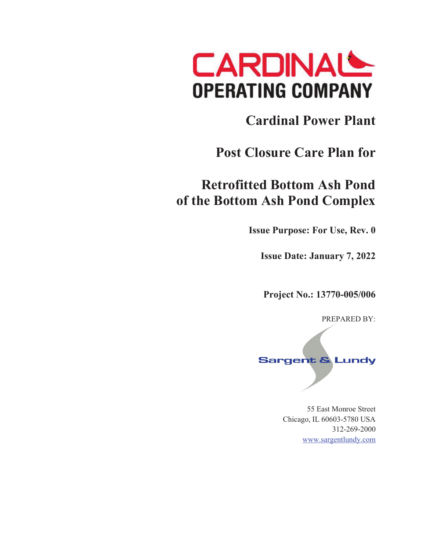

## **Cardinal Power Plant**

## **Post Closure Care Plan for**

## **Retrofitted Bottom Ash Pond of the Bottom Ash Pond Complex**

**Issue Purpose: For Use, Rev. 0** 

**Issue Date: January 7, 2022** 

**Project No.: 13770-005/006** 

PREPARED BY:

# **Sargent & Lundy**

55 East Monroe Street Chicago, IL 60603-5780 USA 312-269-2000 www.sargentlundy.com